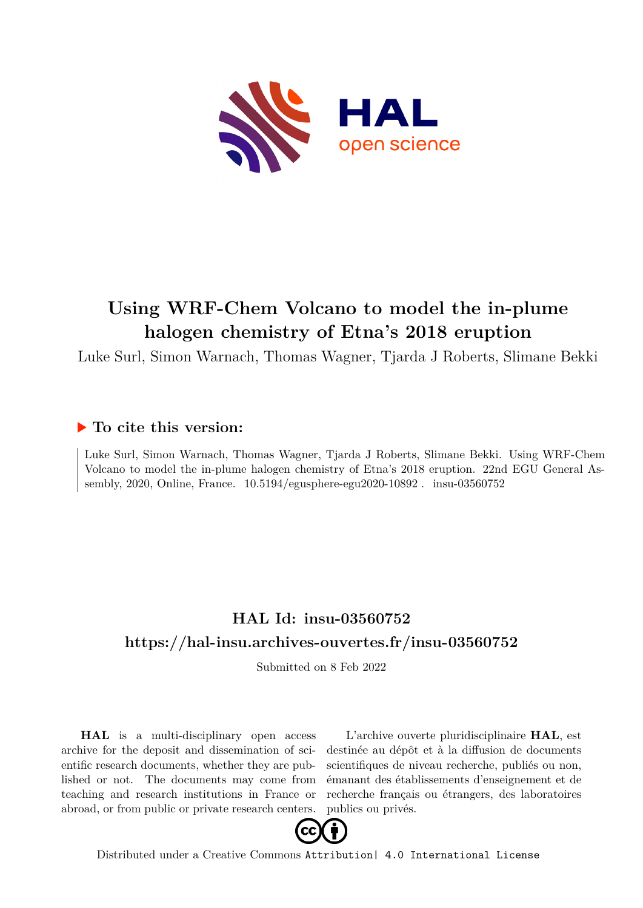

## **Using WRF-Chem Volcano to model the in-plume halogen chemistry of Etna's 2018 eruption**

Luke Surl, Simon Warnach, Thomas Wagner, Tjarda J Roberts, Slimane Bekki

## **To cite this version:**

Luke Surl, Simon Warnach, Thomas Wagner, Tjarda J Roberts, Slimane Bekki. Using WRF-Chem Volcano to model the in-plume halogen chemistry of Etna's 2018 eruption. 22nd EGU General Assembly, 2020, Online, France.  $10.5194$ /egusphere-egu2020-10892. insu-03560752

## **HAL Id: insu-03560752 <https://hal-insu.archives-ouvertes.fr/insu-03560752>**

Submitted on 8 Feb 2022

**HAL** is a multi-disciplinary open access archive for the deposit and dissemination of scientific research documents, whether they are published or not. The documents may come from teaching and research institutions in France or abroad, or from public or private research centers.

L'archive ouverte pluridisciplinaire **HAL**, est destinée au dépôt et à la diffusion de documents scientifiques de niveau recherche, publiés ou non, émanant des établissements d'enseignement et de recherche français ou étrangers, des laboratoires publics ou privés.



Distributed under a Creative Commons [Attribution| 4.0 International License](http://creativecommons.org/licenses/by/4.0/)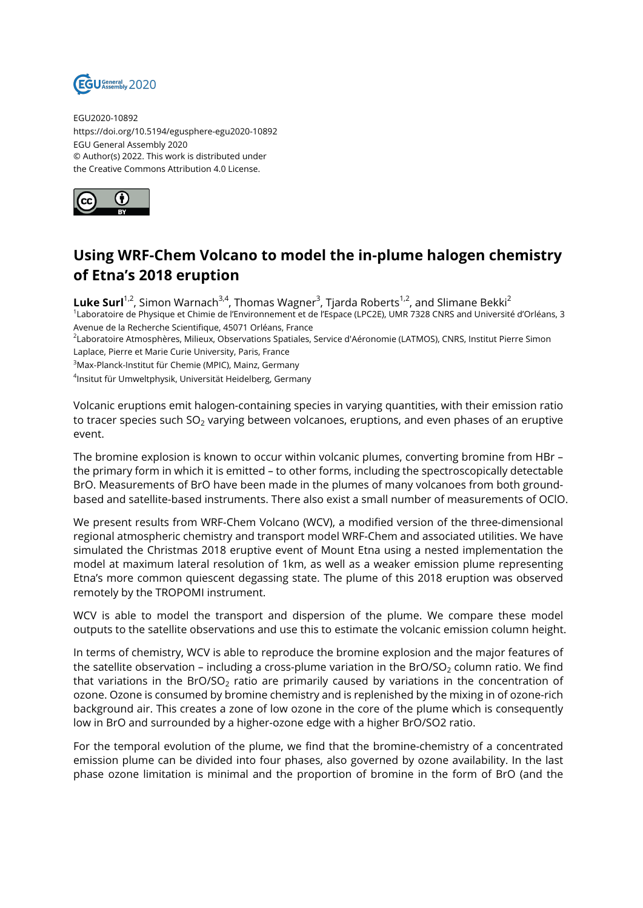

EGU2020-10892 https://doi.org/10.5194/egusphere-egu2020-10892 EGU General Assembly 2020 © Author(s) 2022. This work is distributed under the Creative Commons Attribution 4.0 License.



## **Using WRF-Chem Volcano to model the in-plume halogen chemistry of Etna's 2018 eruption**

 ${\sf{Luke~Surl}}^{1,2}$ , Simon Warnach<sup>3,4</sup>, Thomas Wagner<sup>3</sup>, Tjarda Roberts<sup>1,2</sup>, and Slimane Bekki<sup>2</sup> 1 Laboratoire de Physique et Chimie de l'Environnement et de l'Espace (LPC2E), UMR 7328 CNRS and Université d'Orléans, 3 Avenue de la Recherche Scientifique, 45071 Orléans, France <sup>2</sup>Laboratoire Atmosphères, Milieux, Observations Spatiales, Service d'Aéronomie (LATMOS), CNRS, Institut Pierre Simon

Laplace, Pierre et Marie Curie University, Paris, France

<sup>3</sup>Max-Planck-Institut für Chemie (MPIC), Mainz, Germany

4 Insitut für Umweltphysik, Universität Heidelberg, Germany

Volcanic eruptions emit halogen-containing species in varying quantities, with their emission ratio to tracer species such  $SO<sub>2</sub>$  varying between volcanoes, eruptions, and even phases of an eruptive event.

The bromine explosion is known to occur within volcanic plumes, converting bromine from HBr – the primary form in which it is emitted – to other forms, including the spectroscopically detectable BrO. Measurements of BrO have been made in the plumes of many volcanoes from both groundbased and satellite-based instruments. There also exist a small number of measurements of OClO.

We present results from WRF-Chem Volcano (WCV), a modified version of the three-dimensional regional atmospheric chemistry and transport model WRF-Chem and associated utilities. We have simulated the Christmas 2018 eruptive event of Mount Etna using a nested implementation the model at maximum lateral resolution of 1km, as well as a weaker emission plume representing Etna's more common quiescent degassing state. The plume of this 2018 eruption was observed remotely by the TROPOMI instrument.

WCV is able to model the transport and dispersion of the plume. We compare these model outputs to the satellite observations and use this to estimate the volcanic emission column height.

In terms of chemistry, WCV is able to reproduce the bromine explosion and the major features of the satellite observation – including a cross-plume variation in the BrO/SO<sub>2</sub> column ratio. We find that variations in the BrO/SO<sub>2</sub> ratio are primarily caused by variations in the concentration of ozone. Ozone is consumed by bromine chemistry and is replenished by the mixing in of ozone-rich background air. This creates a zone of low ozone in the core of the plume which is consequently low in BrO and surrounded by a higher-ozone edge with a higher BrO/SO2 ratio.

For the temporal evolution of the plume, we find that the bromine-chemistry of a concentrated emission plume can be divided into four phases, also governed by ozone availability. In the last phase ozone limitation is minimal and the proportion of bromine in the form of BrO (and the